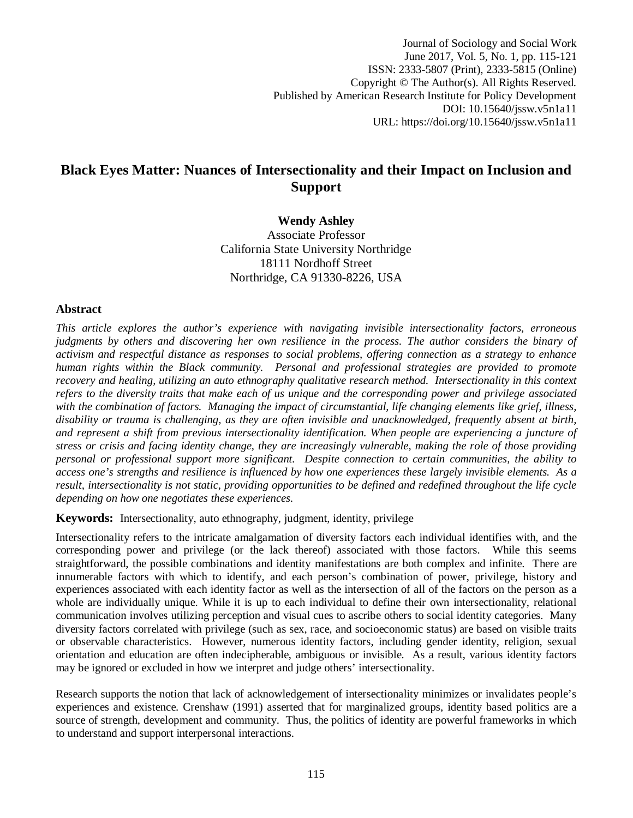Journal of Sociology and Social Work June 2017, Vol. 5, No. 1, pp. 115-121 ISSN: 2333-5807 (Print), 2333-5815 (Online) Copyright © The Author(s). All Rights Reserved. Published by American Research Institute for Policy Development DOI: 10.15640/jssw.v5n1a11 URL: https://doi.org/10.15640/jssw.v5n1a11

# **Black Eyes Matter: Nuances of Intersectionality and their Impact on Inclusion and Support**

**Wendy Ashley** Associate Professor California State University Northridge 18111 Nordhoff Street Northridge, CA 91330-8226, USA

#### **Abstract**

*This article explores the author's experience with navigating invisible intersectionality factors, erroneous judgments by others and discovering her own resilience in the process. The author considers the binary of activism and respectful distance as responses to social problems, offering connection as a strategy to enhance human rights within the Black community. Personal and professional strategies are provided to promote recovery and healing, utilizing an auto ethnography qualitative research method. Intersectionality in this context refers to the diversity traits that make each of us unique and the corresponding power and privilege associated with the combination of factors. Managing the impact of circumstantial, life changing elements like grief, illness, disability or trauma is challenging, as they are often invisible and unacknowledged, frequently absent at birth, and represent a shift from previous intersectionality identification. When people are experiencing a juncture of stress or crisis and facing identity change, they are increasingly vulnerable, making the role of those providing personal or professional support more significant. Despite connection to certain communities, the ability to access one's strengths and resilience is influenced by how one experiences these largely invisible elements. As a result, intersectionality is not static, providing opportunities to be defined and redefined throughout the life cycle depending on how one negotiates these experiences.* 

**Keywords:** Intersectionality, auto ethnography, judgment, identity, privilege

Intersectionality refers to the intricate amalgamation of diversity factors each individual identifies with, and the corresponding power and privilege (or the lack thereof) associated with those factors. While this seems straightforward, the possible combinations and identity manifestations are both complex and infinite. There are innumerable factors with which to identify, and each person's combination of power, privilege, history and experiences associated with each identity factor as well as the intersection of all of the factors on the person as a whole are individually unique. While it is up to each individual to define their own intersectionality, relational communication involves utilizing perception and visual cues to ascribe others to social identity categories. Many diversity factors correlated with privilege (such as sex, race, and socioeconomic status) are based on visible traits or observable characteristics. However, numerous identity factors, including gender identity, religion, sexual orientation and education are often indecipherable, ambiguous or invisible. As a result, various identity factors may be ignored or excluded in how we interpret and judge others' intersectionality.

Research supports the notion that lack of acknowledgement of intersectionality minimizes or invalidates people's experiences and existence. Crenshaw (1991) asserted that for marginalized groups, identity based politics are a source of strength, development and community. Thus, the politics of identity are powerful frameworks in which to understand and support interpersonal interactions.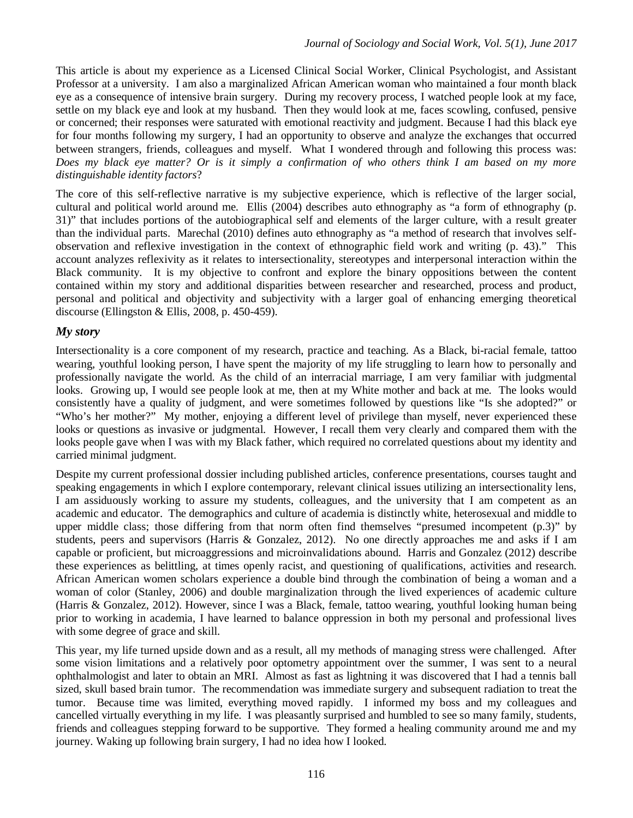This article is about my experience as a Licensed Clinical Social Worker, Clinical Psychologist, and Assistant Professor at a university. I am also a marginalized African American woman who maintained a four month black eye as a consequence of intensive brain surgery. During my recovery process, I watched people look at my face, settle on my black eye and look at my husband. Then they would look at me, faces scowling, confused, pensive or concerned; their responses were saturated with emotional reactivity and judgment. Because I had this black eye for four months following my surgery, I had an opportunity to observe and analyze the exchanges that occurred between strangers, friends, colleagues and myself. What I wondered through and following this process was: *Does my black eye matter? Or is it simply a confirmation of who others think I am based on my more distinguishable identity factors*?

The core of this self-reflective narrative is my subjective experience, which is reflective of the larger social, cultural and political world around me. Ellis (2004) describes auto ethnography as "a form of ethnography (p. 31)" that includes portions of the autobiographical self and elements of the larger culture, with a result greater than the individual parts. Marechal (2010) defines auto ethnography as "a method of research that involves selfobservation and reflexive investigation in the context of ethnographic field work and writing (p. 43)." This account analyzes reflexivity as it relates to intersectionality, stereotypes and interpersonal interaction within the Black community. It is my objective to confront and explore the binary oppositions between the content contained within my story and additional disparities between researcher and researched, process and product, personal and political and objectivity and subjectivity with a larger goal of enhancing emerging theoretical discourse (Ellingston & Ellis, 2008, p. 450-459).

## *My story*

Intersectionality is a core component of my research, practice and teaching. As a Black, bi-racial female, tattoo wearing, youthful looking person, I have spent the majority of my life struggling to learn how to personally and professionally navigate the world. As the child of an interracial marriage, I am very familiar with judgmental looks. Growing up, I would see people look at me, then at my White mother and back at me. The looks would consistently have a quality of judgment, and were sometimes followed by questions like "Is she adopted?" or "Who's her mother?" My mother, enjoying a different level of privilege than myself, never experienced these looks or questions as invasive or judgmental. However, I recall them very clearly and compared them with the looks people gave when I was with my Black father, which required no correlated questions about my identity and carried minimal judgment.

Despite my current professional dossier including published articles, conference presentations, courses taught and speaking engagements in which I explore contemporary, relevant clinical issues utilizing an intersectionality lens, I am assiduously working to assure my students, colleagues, and the university that I am competent as an academic and educator. The demographics and culture of academia is distinctly white, heterosexual and middle to upper middle class; those differing from that norm often find themselves "presumed incompetent (p.3)" by students, peers and supervisors (Harris & Gonzalez, 2012). No one directly approaches me and asks if I am capable or proficient, but microaggressions and microinvalidations abound. Harris and Gonzalez (2012) describe these experiences as belittling, at times openly racist, and questioning of qualifications, activities and research. African American women scholars experience a double bind through the combination of being a woman and a woman of color (Stanley, 2006) and double marginalization through the lived experiences of academic culture (Harris & Gonzalez, 2012). However, since I was a Black, female, tattoo wearing, youthful looking human being prior to working in academia, I have learned to balance oppression in both my personal and professional lives with some degree of grace and skill.

This year, my life turned upside down and as a result, all my methods of managing stress were challenged. After some vision limitations and a relatively poor optometry appointment over the summer, I was sent to a neural ophthalmologist and later to obtain an MRI. Almost as fast as lightning it was discovered that I had a tennis ball sized, skull based brain tumor. The recommendation was immediate surgery and subsequent radiation to treat the tumor. Because time was limited, everything moved rapidly. I informed my boss and my colleagues and cancelled virtually everything in my life. I was pleasantly surprised and humbled to see so many family, students, friends and colleagues stepping forward to be supportive. They formed a healing community around me and my journey. Waking up following brain surgery, I had no idea how I looked.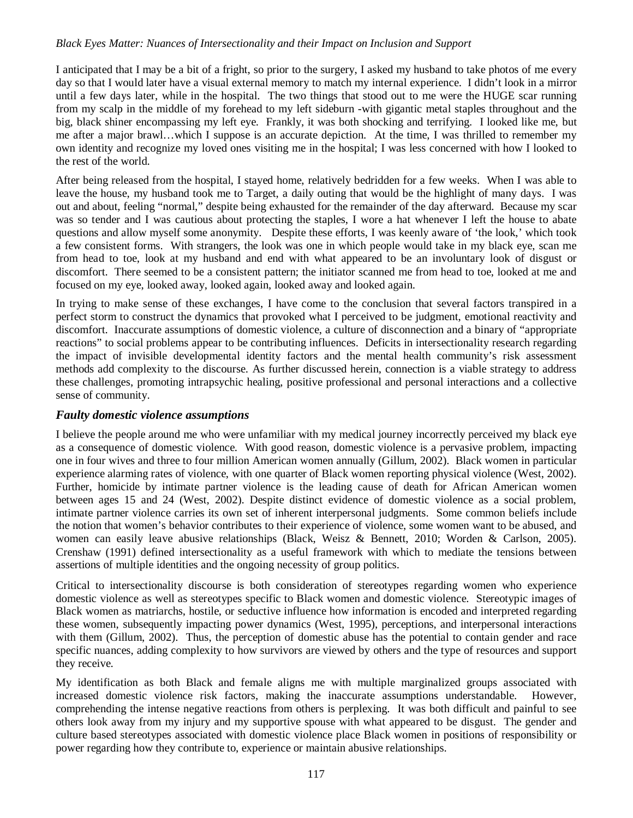#### *Black Eyes Matter: Nuances of Intersectionality and their Impact on Inclusion and Support*

I anticipated that I may be a bit of a fright, so prior to the surgery, I asked my husband to take photos of me every day so that I would later have a visual external memory to match my internal experience. I didn't look in a mirror until a few days later, while in the hospital. The two things that stood out to me were the HUGE scar running from my scalp in the middle of my forehead to my left sideburn -with gigantic metal staples throughout and the big, black shiner encompassing my left eye. Frankly, it was both shocking and terrifying. I looked like me, but me after a major brawl…which I suppose is an accurate depiction. At the time, I was thrilled to remember my own identity and recognize my loved ones visiting me in the hospital; I was less concerned with how I looked to the rest of the world.

After being released from the hospital, I stayed home, relatively bedridden for a few weeks. When I was able to leave the house, my husband took me to Target, a daily outing that would be the highlight of many days. I was out and about, feeling "normal," despite being exhausted for the remainder of the day afterward. Because my scar was so tender and I was cautious about protecting the staples, I wore a hat whenever I left the house to abate questions and allow myself some anonymity. Despite these efforts, I was keenly aware of 'the look,' which took a few consistent forms. With strangers, the look was one in which people would take in my black eye, scan me from head to toe, look at my husband and end with what appeared to be an involuntary look of disgust or discomfort. There seemed to be a consistent pattern; the initiator scanned me from head to toe, looked at me and focused on my eye, looked away, looked again, looked away and looked again.

In trying to make sense of these exchanges, I have come to the conclusion that several factors transpired in a perfect storm to construct the dynamics that provoked what I perceived to be judgment, emotional reactivity and discomfort. Inaccurate assumptions of domestic violence, a culture of disconnection and a binary of "appropriate reactions" to social problems appear to be contributing influences. Deficits in intersectionality research regarding the impact of invisible developmental identity factors and the mental health community's risk assessment methods add complexity to the discourse. As further discussed herein, connection is a viable strategy to address these challenges, promoting intrapsychic healing, positive professional and personal interactions and a collective sense of community.

### *Faulty domestic violence assumptions*

I believe the people around me who were unfamiliar with my medical journey incorrectly perceived my black eye as a consequence of domestic violence. With good reason, domestic violence is a pervasive problem, impacting one in four wives and three to four million American women annually (Gillum, 2002). Black women in particular experience alarming rates of violence, with one quarter of Black women reporting physical violence (West, 2002). Further, homicide by intimate partner violence is the leading cause of death for African American women between ages 15 and 24 (West, 2002). Despite distinct evidence of domestic violence as a social problem, intimate partner violence carries its own set of inherent interpersonal judgments. Some common beliefs include the notion that women's behavior contributes to their experience of violence, some women want to be abused, and women can easily leave abusive relationships (Black, Weisz & Bennett, 2010; Worden & Carlson, 2005). Crenshaw (1991) defined intersectionality as a useful framework with which to mediate the tensions between assertions of multiple identities and the ongoing necessity of group politics.

Critical to intersectionality discourse is both consideration of stereotypes regarding women who experience domestic violence as well as stereotypes specific to Black women and domestic violence. Stereotypic images of Black women as matriarchs, hostile, or seductive influence how information is encoded and interpreted regarding these women, subsequently impacting power dynamics (West, 1995), perceptions, and interpersonal interactions with them (Gillum, 2002). Thus, the perception of domestic abuse has the potential to contain gender and race specific nuances, adding complexity to how survivors are viewed by others and the type of resources and support they receive.

My identification as both Black and female aligns me with multiple marginalized groups associated with increased domestic violence risk factors, making the inaccurate assumptions understandable. However, comprehending the intense negative reactions from others is perplexing. It was both difficult and painful to see others look away from my injury and my supportive spouse with what appeared to be disgust. The gender and culture based stereotypes associated with domestic violence place Black women in positions of responsibility or power regarding how they contribute to, experience or maintain abusive relationships.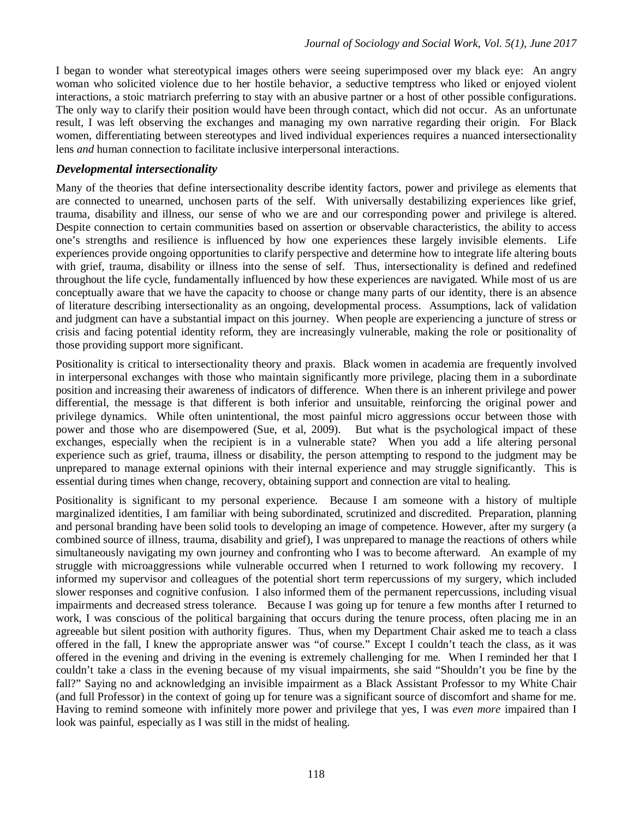I began to wonder what stereotypical images others were seeing superimposed over my black eye: An angry woman who solicited violence due to her hostile behavior, a seductive temptress who liked or enjoyed violent interactions, a stoic matriarch preferring to stay with an abusive partner or a host of other possible configurations. The only way to clarify their position would have been through contact, which did not occur. As an unfortunate result, I was left observing the exchanges and managing my own narrative regarding their origin. For Black women, differentiating between stereotypes and lived individual experiences requires a nuanced intersectionality lens *and* human connection to facilitate inclusive interpersonal interactions.

### *Developmental intersectionality*

Many of the theories that define intersectionality describe identity factors, power and privilege as elements that are connected to unearned, unchosen parts of the self. With universally destabilizing experiences like grief, trauma, disability and illness, our sense of who we are and our corresponding power and privilege is altered. Despite connection to certain communities based on assertion or observable characteristics, the ability to access one's strengths and resilience is influenced by how one experiences these largely invisible elements. Life experiences provide ongoing opportunities to clarify perspective and determine how to integrate life altering bouts with grief, trauma, disability or illness into the sense of self. Thus, intersectionality is defined and redefined throughout the life cycle, fundamentally influenced by how these experiences are navigated. While most of us are conceptually aware that we have the capacity to choose or change many parts of our identity, there is an absence of literature describing intersectionality as an ongoing, developmental process. Assumptions, lack of validation and judgment can have a substantial impact on this journey. When people are experiencing a juncture of stress or crisis and facing potential identity reform, they are increasingly vulnerable, making the role or positionality of those providing support more significant.

Positionality is critical to intersectionality theory and praxis. Black women in academia are frequently involved in interpersonal exchanges with those who maintain significantly more privilege, placing them in a subordinate position and increasing their awareness of indicators of difference. When there is an inherent privilege and power differential, the message is that different is both inferior and unsuitable, reinforcing the original power and privilege dynamics. While often unintentional, the most painful micro aggressions occur between those with power and those who are disempowered (Sue, et al, 2009). But what is the psychological impact of these exchanges, especially when the recipient is in a vulnerable state? When you add a life altering personal experience such as grief, trauma, illness or disability, the person attempting to respond to the judgment may be unprepared to manage external opinions with their internal experience and may struggle significantly. This is essential during times when change, recovery, obtaining support and connection are vital to healing.

Positionality is significant to my personal experience. Because I am someone with a history of multiple marginalized identities, I am familiar with being subordinated, scrutinized and discredited. Preparation, planning and personal branding have been solid tools to developing an image of competence. However, after my surgery (a combined source of illness, trauma, disability and grief), I was unprepared to manage the reactions of others while simultaneously navigating my own journey and confronting who I was to become afterward. An example of my struggle with microaggressions while vulnerable occurred when I returned to work following my recovery. I informed my supervisor and colleagues of the potential short term repercussions of my surgery, which included slower responses and cognitive confusion. I also informed them of the permanent repercussions, including visual impairments and decreased stress tolerance. Because I was going up for tenure a few months after I returned to work, I was conscious of the political bargaining that occurs during the tenure process, often placing me in an agreeable but silent position with authority figures. Thus, when my Department Chair asked me to teach a class offered in the fall, I knew the appropriate answer was "of course." Except I couldn't teach the class, as it was offered in the evening and driving in the evening is extremely challenging for me. When I reminded her that I couldn't take a class in the evening because of my visual impairments, she said "Shouldn't you be fine by the fall?" Saying no and acknowledging an invisible impairment as a Black Assistant Professor to my White Chair (and full Professor) in the context of going up for tenure was a significant source of discomfort and shame for me. Having to remind someone with infinitely more power and privilege that yes, I was *even more* impaired than I look was painful, especially as I was still in the midst of healing.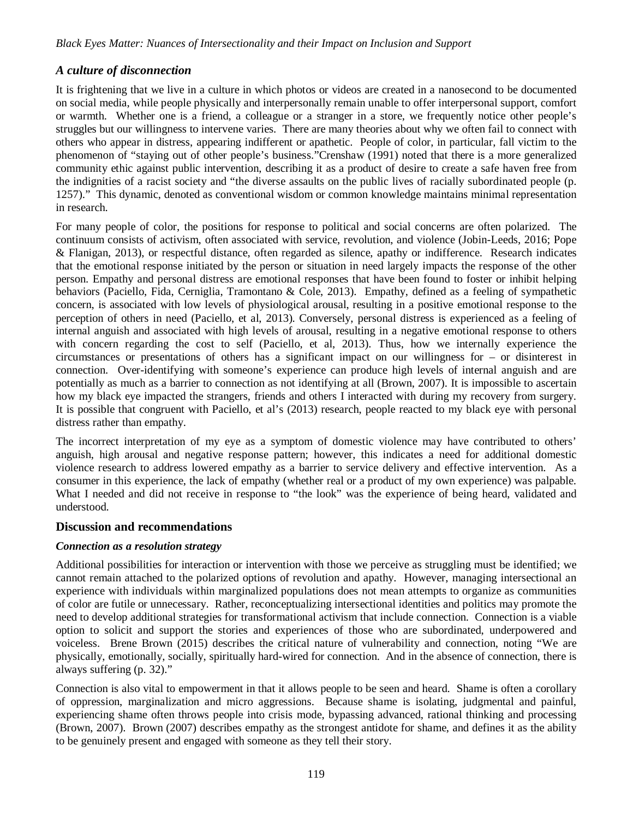## *A culture of disconnection*

It is frightening that we live in a culture in which photos or videos are created in a nanosecond to be documented on social media, while people physically and interpersonally remain unable to offer interpersonal support, comfort or warmth. Whether one is a friend, a colleague or a stranger in a store, we frequently notice other people's struggles but our willingness to intervene varies. There are many theories about why we often fail to connect with others who appear in distress, appearing indifferent or apathetic. People of color, in particular, fall victim to the phenomenon of "staying out of other people's business."Crenshaw (1991) noted that there is a more generalized community ethic against public intervention, describing it as a product of desire to create a safe haven free from the indignities of a racist society and "the diverse assaults on the public lives of racially subordinated people (p. 1257)." This dynamic, denoted as conventional wisdom or common knowledge maintains minimal representation in research.

For many people of color, the positions for response to political and social concerns are often polarized. The continuum consists of activism, often associated with service, revolution, and violence (Jobin-Leeds, 2016; Pope & Flanigan, 2013), or respectful distance, often regarded as silence, apathy or indifference. Research indicates that the emotional response initiated by the person or situation in need largely impacts the response of the other person. Empathy and personal distress are emotional responses that have been found to foster or inhibit helping behaviors (Paciello, Fida, Cerniglia, Tramontano & Cole, 2013). Empathy, defined as a feeling of sympathetic concern, is associated with low levels of physiological arousal, resulting in a positive emotional response to the perception of others in need (Paciello, et al, 2013). Conversely, personal distress is experienced as a feeling of internal anguish and associated with high levels of arousal, resulting in a negative emotional response to others with concern regarding the cost to self (Paciello, et al, 2013). Thus, how we internally experience the circumstances or presentations of others has a significant impact on our willingness for – or disinterest in connection. Over-identifying with someone's experience can produce high levels of internal anguish and are potentially as much as a barrier to connection as not identifying at all (Brown, 2007). It is impossible to ascertain how my black eye impacted the strangers, friends and others I interacted with during my recovery from surgery. It is possible that congruent with Paciello, et al's (2013) research, people reacted to my black eye with personal distress rather than empathy.

The incorrect interpretation of my eye as a symptom of domestic violence may have contributed to others' anguish, high arousal and negative response pattern; however, this indicates a need for additional domestic violence research to address lowered empathy as a barrier to service delivery and effective intervention. As a consumer in this experience, the lack of empathy (whether real or a product of my own experience) was palpable. What I needed and did not receive in response to "the look" was the experience of being heard, validated and understood.

### **Discussion and recommendations**

#### *Connection as a resolution strategy*

Additional possibilities for interaction or intervention with those we perceive as struggling must be identified; we cannot remain attached to the polarized options of revolution and apathy. However, managing intersectional an experience with individuals within marginalized populations does not mean attempts to organize as communities of color are futile or unnecessary. Rather, reconceptualizing intersectional identities and politics may promote the need to develop additional strategies for transformational activism that include connection. Connection is a viable option to solicit and support the stories and experiences of those who are subordinated, underpowered and voiceless. Brene Brown (2015) describes the critical nature of vulnerability and connection, noting "We are physically, emotionally, socially, spiritually hard-wired for connection. And in the absence of connection, there is always suffering (p. 32)."

Connection is also vital to empowerment in that it allows people to be seen and heard. Shame is often a corollary of oppression, marginalization and micro aggressions. Because shame is isolating, judgmental and painful, experiencing shame often throws people into crisis mode, bypassing advanced, rational thinking and processing (Brown, 2007). Brown (2007) describes empathy as the strongest antidote for shame, and defines it as the ability to be genuinely present and engaged with someone as they tell their story.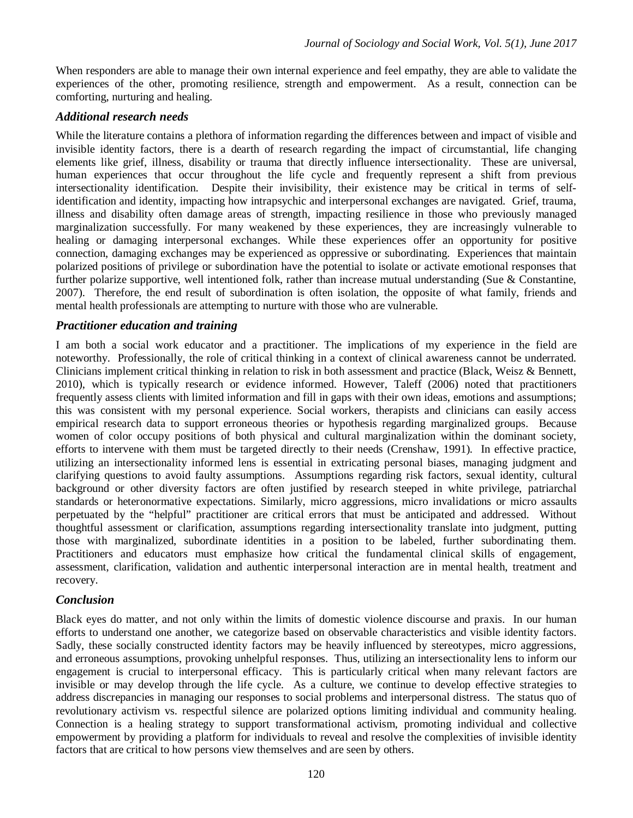When responders are able to manage their own internal experience and feel empathy, they are able to validate the experiences of the other, promoting resilience, strength and empowerment. As a result, connection can be comforting, nurturing and healing.

### *Additional research needs*

While the literature contains a plethora of information regarding the differences between and impact of visible and invisible identity factors, there is a dearth of research regarding the impact of circumstantial, life changing elements like grief, illness, disability or trauma that directly influence intersectionality. These are universal, human experiences that occur throughout the life cycle and frequently represent a shift from previous intersectionality identification. Despite their invisibility, their existence may be critical in terms of selfidentification and identity, impacting how intrapsychic and interpersonal exchanges are navigated. Grief, trauma, illness and disability often damage areas of strength, impacting resilience in those who previously managed marginalization successfully. For many weakened by these experiences, they are increasingly vulnerable to healing or damaging interpersonal exchanges. While these experiences offer an opportunity for positive connection, damaging exchanges may be experienced as oppressive or subordinating. Experiences that maintain polarized positions of privilege or subordination have the potential to isolate or activate emotional responses that further polarize supportive, well intentioned folk, rather than increase mutual understanding (Sue & Constantine, 2007). Therefore, the end result of subordination is often isolation, the opposite of what family, friends and mental health professionals are attempting to nurture with those who are vulnerable.

## *Practitioner education and training*

I am both a social work educator and a practitioner. The implications of my experience in the field are noteworthy. Professionally, the role of critical thinking in a context of clinical awareness cannot be underrated. Clinicians implement critical thinking in relation to risk in both assessment and practice (Black, Weisz & Bennett, 2010), which is typically research or evidence informed. However, Taleff (2006) noted that practitioners frequently assess clients with limited information and fill in gaps with their own ideas, emotions and assumptions; this was consistent with my personal experience. Social workers, therapists and clinicians can easily access empirical research data to support erroneous theories or hypothesis regarding marginalized groups. Because women of color occupy positions of both physical and cultural marginalization within the dominant society, efforts to intervene with them must be targeted directly to their needs (Crenshaw, 1991). In effective practice, utilizing an intersectionality informed lens is essential in extricating personal biases, managing judgment and clarifying questions to avoid faulty assumptions. Assumptions regarding risk factors, sexual identity, cultural background or other diversity factors are often justified by research steeped in white privilege, patriarchal standards or heteronormative expectations. Similarly, micro aggressions, micro invalidations or micro assaults perpetuated by the "helpful" practitioner are critical errors that must be anticipated and addressed. Without thoughtful assessment or clarification, assumptions regarding intersectionality translate into judgment, putting those with marginalized, subordinate identities in a position to be labeled, further subordinating them. Practitioners and educators must emphasize how critical the fundamental clinical skills of engagement, assessment, clarification, validation and authentic interpersonal interaction are in mental health, treatment and recovery.

## *Conclusion*

Black eyes do matter, and not only within the limits of domestic violence discourse and praxis. In our human efforts to understand one another, we categorize based on observable characteristics and visible identity factors. Sadly, these socially constructed identity factors may be heavily influenced by stereotypes, micro aggressions, and erroneous assumptions, provoking unhelpful responses. Thus, utilizing an intersectionality lens to inform our engagement is crucial to interpersonal efficacy. This is particularly critical when many relevant factors are invisible or may develop through the life cycle. As a culture, we continue to develop effective strategies to address discrepancies in managing our responses to social problems and interpersonal distress. The status quo of revolutionary activism vs. respectful silence are polarized options limiting individual and community healing. Connection is a healing strategy to support transformational activism, promoting individual and collective empowerment by providing a platform for individuals to reveal and resolve the complexities of invisible identity factors that are critical to how persons view themselves and are seen by others.